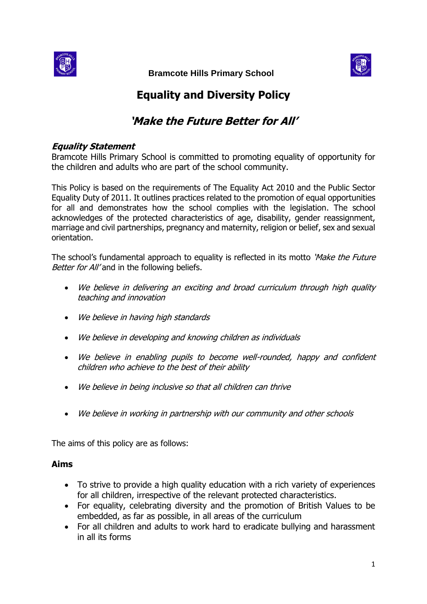

 **Bramcote Hills Primary School** 



# **Equality and Diversity Policy**

# **'Make the Future Better for All'**

#### **Equality Statement**

Bramcote Hills Primary School is committed to promoting equality of opportunity for the children and adults who are part of the school community.

This Policy is based on the requirements of The Equality Act 2010 and the Public Sector Equality Duty of 2011. It outlines practices related to the promotion of equal opportunities for all and demonstrates how the school complies with the legislation. The school acknowledges of the protected characteristics of age, disability, gender reassignment, marriage and civil partnerships, pregnancy and maternity, religion or belief, sex and sexual orientation.

The school's fundamental approach to equality is reflected in its motto 'Make the Future' Better for All' and in the following beliefs.

- We believe in delivering an exciting and broad curriculum through high quality teaching and innovation
- We believe in having high standards
- We believe in developing and knowing children as individuals
- We believe in enabling pupils to become well-rounded, happy and confident children who achieve to the best of their ability
- We believe in being inclusive so that all children can thrive
- We believe in working in partnership with our community and other schools

The aims of this policy are as follows:

#### **Aims**

- To strive to provide a high quality education with a rich variety of experiences for all children, irrespective of the relevant protected characteristics.
- For equality, celebrating diversity and the promotion of British Values to be embedded, as far as possible, in all areas of the curriculum
- For all children and adults to work hard to eradicate bullying and harassment in all its forms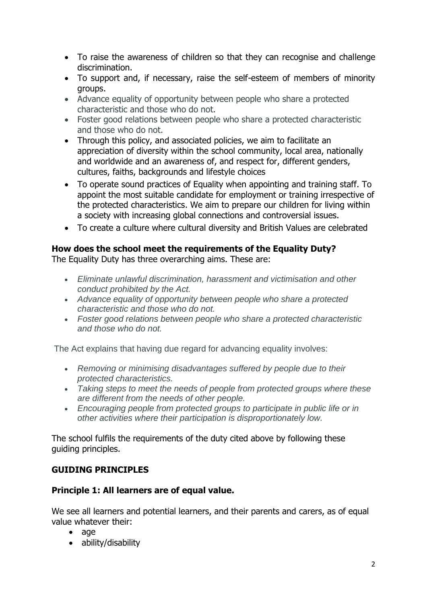- To raise the awareness of children so that they can recognise and challenge discrimination.
- To support and, if necessary, raise the self-esteem of members of minority groups.
- Advance equality of opportunity between people who share a protected characteristic and those who do not.
- Foster good relations between people who share a protected characteristic and those who do not.
- Through this policy, and associated policies, we aim to facilitate an appreciation of diversity within the school community, local area, nationally and worldwide and an awareness of, and respect for, different genders, cultures, faiths, backgrounds and lifestyle choices
- To operate sound practices of Equality when appointing and training staff. To appoint the most suitable candidate for employment or training irrespective of the protected characteristics. We aim to prepare our children for living within a society with increasing global connections and controversial issues.
- To create a culture where cultural diversity and British Values are celebrated

## **How does the school meet the requirements of the Equality Duty?**

The Equality Duty has three overarching aims. These are:

- *Eliminate unlawful discrimination, harassment and victimisation and other conduct prohibited by the Act.*
- *Advance equality of opportunity between people who share a protected characteristic and those who do not.*
- *Foster good relations between people who share a protected characteristic and those who do not.*

The Act explains that having due regard for advancing equality involves:

- *Removing or minimising disadvantages suffered by people due to their protected characteristics.*
- *Taking steps to meet the needs of people from protected groups where these are different from the needs of other people.*
- *Encouraging people from protected groups to participate in public life or in other activities where their participation is disproportionately low.*

The school fulfils the requirements of the duty cited above by following these guiding principles.

## **GUIDING PRINCIPLES**

## **Principle 1: All learners are of equal value.**

We see all learners and potential learners, and their parents and carers, as of equal value whatever their:

- age
- ability/disability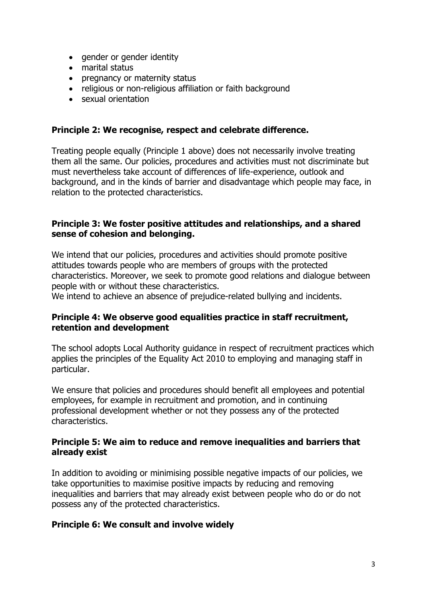- gender or gender identity
- marital status
- pregnancy or maternity status
- religious or non-religious affiliation or faith background
- sexual orientation

#### **Principle 2: We recognise, respect and celebrate difference.**

Treating people equally (Principle 1 above) does not necessarily involve treating them all the same. Our policies, procedures and activities must not discriminate but must nevertheless take account of differences of life-experience, outlook and background, and in the kinds of barrier and disadvantage which people may face, in relation to the protected characteristics.

#### **Principle 3: We foster positive attitudes and relationships, and a shared sense of cohesion and belonging.**

We intend that our policies, procedures and activities should promote positive attitudes towards people who are members of groups with the protected characteristics. Moreover, we seek to promote good relations and dialogue between people with or without these characteristics.

We intend to achieve an absence of prejudice-related bullying and incidents.

#### **Principle 4: We observe good equalities practice in staff recruitment, retention and development**

The school adopts Local Authority guidance in respect of recruitment practices which applies the principles of the Equality Act 2010 to employing and managing staff in particular.

We ensure that policies and procedures should benefit all employees and potential employees, for example in recruitment and promotion, and in continuing professional development whether or not they possess any of the protected characteristics.

#### **Principle 5: We aim to reduce and remove inequalities and barriers that already exist**

In addition to avoiding or minimising possible negative impacts of our policies, we take opportunities to maximise positive impacts by reducing and removing inequalities and barriers that may already exist between people who do or do not possess any of the protected characteristics.

#### **Principle 6: We consult and involve widely**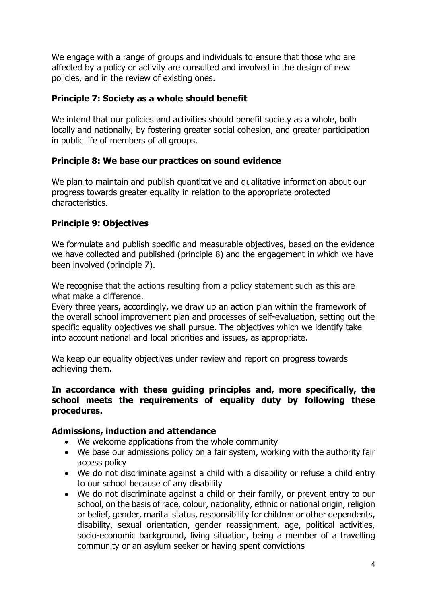We engage with a range of groups and individuals to ensure that those who are affected by a policy or activity are consulted and involved in the design of new policies, and in the review of existing ones.

#### **Principle 7: Society as a whole should benefit**

We intend that our policies and activities should benefit society as a whole, both locally and nationally, by fostering greater social cohesion, and greater participation in public life of members of all groups.

## **Principle 8: We base our practices on sound evidence**

We plan to maintain and publish quantitative and qualitative information about our progress towards greater equality in relation to the appropriate protected characteristics.

## **Principle 9: Objectives**

We formulate and publish specific and measurable objectives, based on the evidence we have collected and published (principle 8) and the engagement in which we have been involved (principle 7).

We recognise that the actions resulting from a policy statement such as this are what make a difference.

Every three years, accordingly, we draw up an action plan within the framework of the overall school improvement plan and processes of self-evaluation, setting out the specific equality objectives we shall pursue. The objectives which we identify take into account national and local priorities and issues, as appropriate.

We keep our equality objectives under review and report on progress towards achieving them.

#### **In accordance with these guiding principles and, more specifically, the school meets the requirements of equality duty by following these procedures.**

#### **Admissions, induction and attendance**

- We welcome applications from the whole community
- We base our admissions policy on a fair system, working with the authority fair access policy
- We do not discriminate against a child with a disability or refuse a child entry to our school because of any disability
- We do not discriminate against a child or their family, or prevent entry to our school, on the basis of race, colour, nationality, ethnic or national origin, religion or belief, gender, marital status, responsibility for children or other dependents, disability, sexual orientation, gender reassignment, age, political activities, socio-economic background, living situation, being a member of a travelling community or an asylum seeker or having spent convictions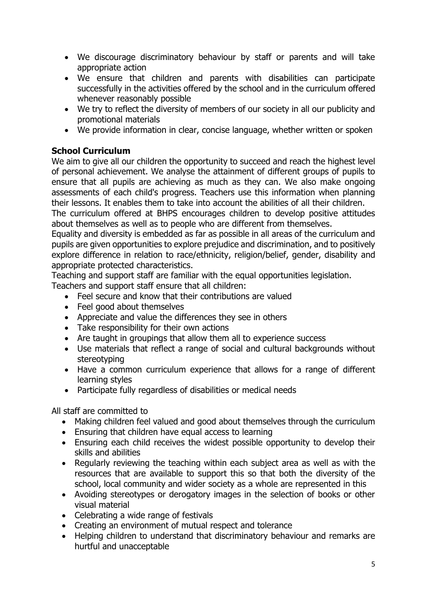- We discourage discriminatory behaviour by staff or parents and will take appropriate action
- We ensure that children and parents with disabilities can participate successfully in the activities offered by the school and in the curriculum offered whenever reasonably possible
- We try to reflect the diversity of members of our society in all our publicity and promotional materials
- We provide information in clear, concise language, whether written or spoken

## **School Curriculum**

We aim to give all our children the opportunity to succeed and reach the highest level of personal achievement. We analyse the attainment of different groups of pupils to ensure that all pupils are achieving as much as they can. We also make ongoing assessments of each child's progress. Teachers use this information when planning their lessons. It enables them to take into account the abilities of all their children.

The curriculum offered at BHPS encourages children to develop positive attitudes about themselves as well as to people who are different from themselves.

Equality and diversity is embedded as far as possible in all areas of the curriculum and pupils are given opportunities to explore prejudice and discrimination, and to positively explore difference in relation to race/ethnicity, religion/belief, gender, disability and appropriate protected characteristics.

Teaching and support staff are familiar with the equal opportunities legislation.

Teachers and support staff ensure that all children:

- Feel secure and know that their contributions are valued
- Feel good about themselves
- Appreciate and value the differences they see in others
- Take responsibility for their own actions
- Are taught in groupings that allow them all to experience success
- Use materials that reflect a range of social and cultural backgrounds without stereotyping
- Have a common curriculum experience that allows for a range of different learning styles
- Participate fully regardless of disabilities or medical needs

All staff are committed to

- Making children feel valued and good about themselves through the curriculum
- Ensuring that children have equal access to learning
- Ensuring each child receives the widest possible opportunity to develop their skills and abilities
- Regularly reviewing the teaching within each subject area as well as with the resources that are available to support this so that both the diversity of the school, local community and wider society as a whole are represented in this
- Avoiding stereotypes or derogatory images in the selection of books or other visual material
- Celebrating a wide range of festivals
- Creating an environment of mutual respect and tolerance
- Helping children to understand that discriminatory behaviour and remarks are hurtful and unacceptable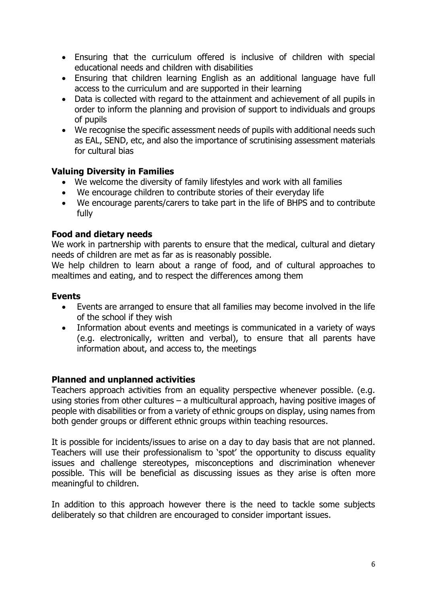- Ensuring that the curriculum offered is inclusive of children with special educational needs and children with disabilities
- Ensuring that children learning English as an additional language have full access to the curriculum and are supported in their learning
- Data is collected with regard to the attainment and achievement of all pupils in order to inform the planning and provision of support to individuals and groups of pupils
- We recognise the specific assessment needs of pupils with additional needs such as EAL, SEND, etc, and also the importance of scrutinising assessment materials for cultural bias

#### **Valuing Diversity in Families**

- We welcome the diversity of family lifestyles and work with all families
- We encourage children to contribute stories of their everyday life
- We encourage parents/carers to take part in the life of BHPS and to contribute fully

## **Food and dietary needs**

We work in partnership with parents to ensure that the medical, cultural and dietary needs of children are met as far as is reasonably possible.

We help children to learn about a range of food, and of cultural approaches to mealtimes and eating, and to respect the differences among them

#### **Events**

- Events are arranged to ensure that all families may become involved in the life of the school if they wish
- Information about events and meetings is communicated in a variety of ways (e.g. electronically, written and verbal), to ensure that all parents have information about, and access to, the meetings

#### **Planned and unplanned activities**

Teachers approach activities from an equality perspective whenever possible. (e.g. using stories from other cultures – a multicultural approach, having positive images of people with disabilities or from a variety of ethnic groups on display, using names from both gender groups or different ethnic groups within teaching resources.

It is possible for incidents/issues to arise on a day to day basis that are not planned. Teachers will use their professionalism to 'spot' the opportunity to discuss equality issues and challenge stereotypes, misconceptions and discrimination whenever possible. This will be beneficial as discussing issues as they arise is often more meaningful to children.

In addition to this approach however there is the need to tackle some subjects deliberately so that children are encouraged to consider important issues.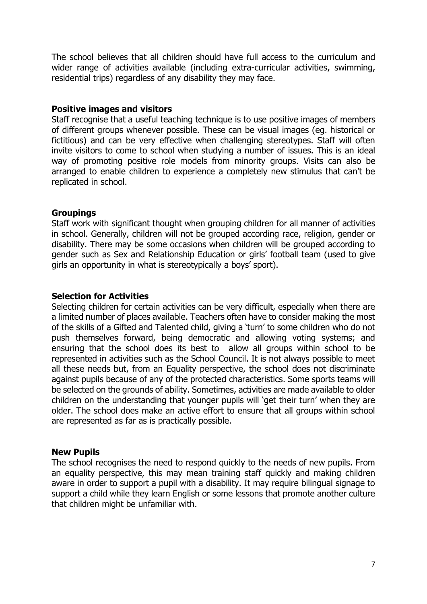The school believes that all children should have full access to the curriculum and wider range of activities available (including extra-curricular activities, swimming, residential trips) regardless of any disability they may face.

#### **Positive images and visitors**

Staff recognise that a useful teaching technique is to use positive images of members of different groups whenever possible. These can be visual images (eg. historical or fictitious) and can be very effective when challenging stereotypes. Staff will often invite visitors to come to school when studying a number of issues. This is an ideal way of promoting positive role models from minority groups. Visits can also be arranged to enable children to experience a completely new stimulus that can't be replicated in school.

#### **Groupings**

Staff work with significant thought when grouping children for all manner of activities in school. Generally, children will not be grouped according race, religion, gender or disability. There may be some occasions when children will be grouped according to gender such as Sex and Relationship Education or girls' football team (used to give girls an opportunity in what is stereotypically a boys' sport).

#### **Selection for Activities**

Selecting children for certain activities can be very difficult, especially when there are a limited number of places available. Teachers often have to consider making the most of the skills of a Gifted and Talented child, giving a 'turn' to some children who do not push themselves forward, being democratic and allowing voting systems; and ensuring that the school does its best to allow all groups within school to be represented in activities such as the School Council. It is not always possible to meet all these needs but, from an Equality perspective, the school does not discriminate against pupils because of any of the protected characteristics. Some sports teams will be selected on the grounds of ability. Sometimes, activities are made available to older children on the understanding that younger pupils will 'get their turn' when they are older. The school does make an active effort to ensure that all groups within school are represented as far as is practically possible.

#### **New Pupils**

The school recognises the need to respond quickly to the needs of new pupils. From an equality perspective, this may mean training staff quickly and making children aware in order to support a pupil with a disability. It may require bilingual signage to support a child while they learn English or some lessons that promote another culture that children might be unfamiliar with.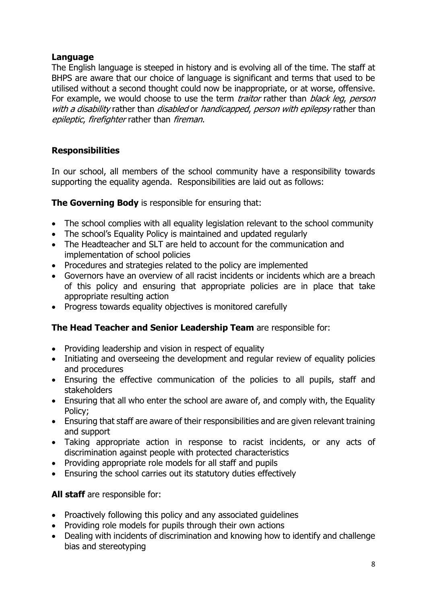## **Language**

The English language is steeped in history and is evolving all of the time. The staff at BHPS are aware that our choice of language is significant and terms that used to be utilised without a second thought could now be inappropriate, or at worse, offensive. For example, we would choose to use the term *traitor* rather than *black leg, person* with a disability rather than *disabled* or *handicapped, person with epilepsy* rather than epileptic, firefighter rather than fireman.

## **Responsibilities**

In our school, all members of the school community have a responsibility towards supporting the equality agenda. Responsibilities are laid out as follows:

**The Governing Body** is responsible for ensuring that:

- The school complies with all equality legislation relevant to the school community
- The school's Equality Policy is maintained and updated regularly
- The Headteacher and SLT are held to account for the communication and implementation of school policies
- Procedures and strategies related to the policy are implemented
- Governors have an overview of all racist incidents or incidents which are a breach of this policy and ensuring that appropriate policies are in place that take appropriate resulting action
- Progress towards equality objectives is monitored carefully

## **The Head Teacher and Senior Leadership Team** are responsible for:

- Providing leadership and vision in respect of equality
- Initiating and overseeing the development and regular review of equality policies and procedures
- Ensuring the effective communication of the policies to all pupils, staff and stakeholders
- Ensuring that all who enter the school are aware of, and comply with, the Equality Policy;
- Ensuring that staff are aware of their responsibilities and are given relevant training and support
- Taking appropriate action in response to racist incidents, or any acts of discrimination against people with protected characteristics
- Providing appropriate role models for all staff and pupils
- Ensuring the school carries out its statutory duties effectively

## **All staff** are responsible for:

- Proactively following this policy and any associated guidelines
- Providing role models for pupils through their own actions
- Dealing with incidents of discrimination and knowing how to identify and challenge bias and stereotyping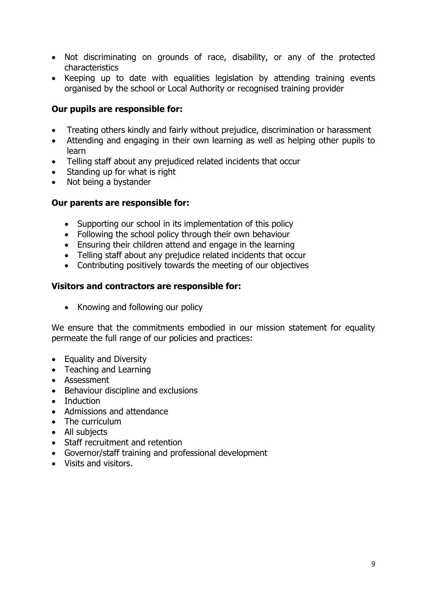- Not discriminating on grounds of race, disability, or any of the protected characteristics
- Keeping up to date with equalities legislation by attending training events organised by the school or Local Authority or recognised training provider

#### **Our pupils are responsible for:**

- Treating others kindly and fairly without prejudice, discrimination or harassment
- Attending and engaging in their own learning as well as helping other pupils to learn
- Telling staff about any prejudiced related incidents that occur
- Standing up for what is right
- Not being a bystander

#### **Our parents are responsible for:**

- Supporting our school in its implementation of this policy
- Following the school policy through their own behaviour
- Ensuring their children attend and engage in the learning
- Telling staff about any prejudice related incidents that occur
- Contributing positively towards the meeting of our objectives

#### **Visitors and contractors are responsible for:**

• Knowing and following our policy

We ensure that the commitments embodied in our mission statement for equality permeate the full range of our policies and practices:

- Equality and Diversity
- Teaching and Learning
- Assessment
- Behaviour discipline and exclusions
- Induction
- Admissions and attendance
- The curriculum
- All subjects
- Staff recruitment and retention
- Governor/staff training and professional development
- Visits and visitors.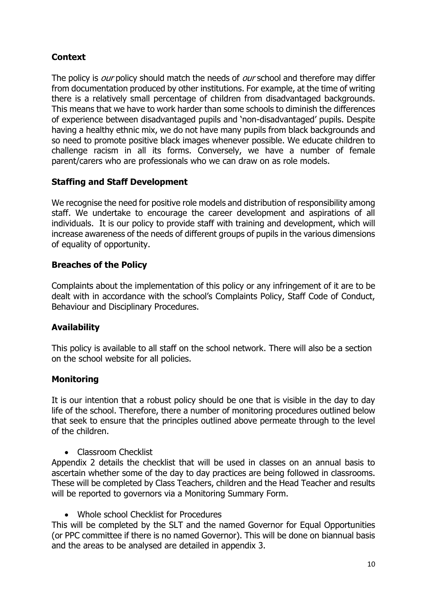## **Context**

The policy is *our* policy should match the needs of *our* school and therefore may differ from documentation produced by other institutions. For example, at the time of writing there is a relatively small percentage of children from disadvantaged backgrounds. This means that we have to work harder than some schools to diminish the differences of experience between disadvantaged pupils and 'non-disadvantaged' pupils. Despite having a healthy ethnic mix, we do not have many pupils from black backgrounds and so need to promote positive black images whenever possible. We educate children to challenge racism in all its forms. Conversely, we have a number of female parent/carers who are professionals who we can draw on as role models.

## **Staffing and Staff Development**

We recognise the need for positive role models and distribution of responsibility among staff. We undertake to encourage the career development and aspirations of all individuals. It is our policy to provide staff with training and development, which will increase awareness of the needs of different groups of pupils in the various dimensions of equality of opportunity.

## **Breaches of the Policy**

Complaints about the implementation of this policy or any infringement of it are to be dealt with in accordance with the school's Complaints Policy, Staff Code of Conduct, Behaviour and Disciplinary Procedures.

## **Availability**

This policy is available to all staff on the school network. There will also be a section on the school website for all policies.

## **Monitoring**

It is our intention that a robust policy should be one that is visible in the day to day life of the school. Therefore, there a number of monitoring procedures outlined below that seek to ensure that the principles outlined above permeate through to the level of the children.

• Classroom Checklist

Appendix 2 details the checklist that will be used in classes on an annual basis to ascertain whether some of the day to day practices are being followed in classrooms. These will be completed by Class Teachers, children and the Head Teacher and results will be reported to governors via a Monitoring Summary Form.

• Whole school Checklist for Procedures

This will be completed by the SLT and the named Governor for Equal Opportunities (or PPC committee if there is no named Governor). This will be done on biannual basis and the areas to be analysed are detailed in appendix 3.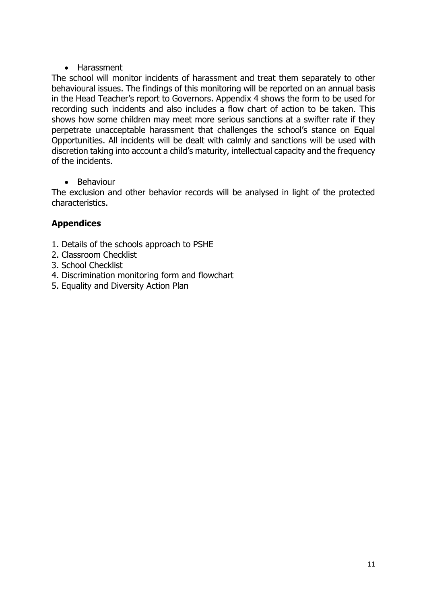## • Harassment

The school will monitor incidents of harassment and treat them separately to other behavioural issues. The findings of this monitoring will be reported on an annual basis in the Head Teacher's report to Governors. Appendix 4 shows the form to be used for recording such incidents and also includes a flow chart of action to be taken. This shows how some children may meet more serious sanctions at a swifter rate if they perpetrate unacceptable harassment that challenges the school's stance on Equal Opportunities. All incidents will be dealt with calmly and sanctions will be used with discretion taking into account a child's maturity, intellectual capacity and the frequency of the incidents.

• Behaviour

The exclusion and other behavior records will be analysed in light of the protected characteristics.

## **Appendices**

- 1. Details of the schools approach to PSHE
- 2. Classroom Checklist
- 3. School Checklist
- 4. Discrimination monitoring form and flowchart
- 5. Equality and Diversity Action Plan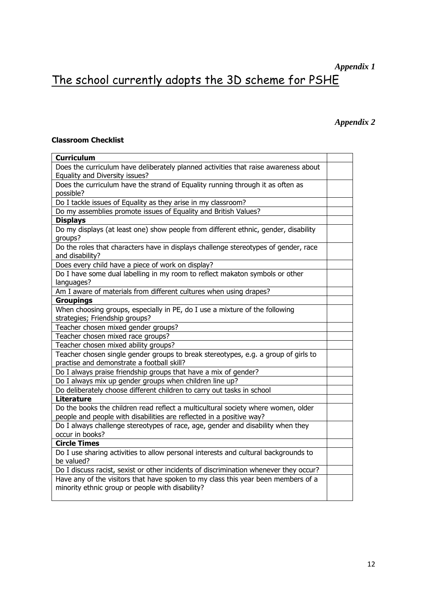# *Appendix 1*

# The school currently adopts the 3D scheme for PSHE

#### *Appendix 2*

#### **Classroom Checklist**

| <b>Curriculum</b>                                                                     |  |
|---------------------------------------------------------------------------------------|--|
| Does the curriculum have deliberately planned activities that raise awareness about   |  |
| Equality and Diversity issues?                                                        |  |
| Does the curriculum have the strand of Equality running through it as often as        |  |
| possible?                                                                             |  |
| Do I tackle issues of Equality as they arise in my classroom?                         |  |
| Do my assemblies promote issues of Equality and British Values?                       |  |
| <b>Displays</b>                                                                       |  |
| Do my displays (at least one) show people from different ethnic, gender, disability   |  |
| groups?                                                                               |  |
| Do the roles that characters have in displays challenge stereotypes of gender, race   |  |
| and disability?                                                                       |  |
| Does every child have a piece of work on display?                                     |  |
| Do I have some dual labelling in my room to reflect makaton symbols or other          |  |
| languages?                                                                            |  |
| Am I aware of materials from different cultures when using drapes?                    |  |
| <b>Groupings</b>                                                                      |  |
| When choosing groups, especially in PE, do I use a mixture of the following           |  |
| strategies; Friendship groups?                                                        |  |
| Teacher chosen mixed gender groups?                                                   |  |
| Teacher chosen mixed race groups?                                                     |  |
| Teacher chosen mixed ability groups?                                                  |  |
| Teacher chosen single gender groups to break stereotypes, e.g. a group of girls to    |  |
| practise and demonstrate a football skill?                                            |  |
| Do I always praise friendship groups that have a mix of gender?                       |  |
| Do I always mix up gender groups when children line up?                               |  |
| Do deliberately choose different children to carry out tasks in school                |  |
| <b>Literature</b>                                                                     |  |
| Do the books the children read reflect a multicultural society where women, older     |  |
| people and people with disabilities are reflected in a positive way?                  |  |
| Do I always challenge stereotypes of race, age, gender and disability when they       |  |
| occur in books?                                                                       |  |
| <b>Circle Times</b>                                                                   |  |
| Do I use sharing activities to allow personal interests and cultural backgrounds to   |  |
| be valued?                                                                            |  |
| Do I discuss racist, sexist or other incidents of discrimination whenever they occur? |  |
| Have any of the visitors that have spoken to my class this year been members of a     |  |
| minority ethnic group or people with disability?                                      |  |
|                                                                                       |  |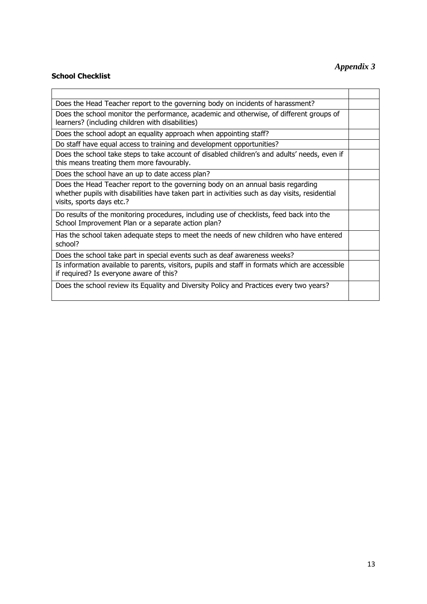#### **School Checklist**

## *Appendix 3*

| Does the Head Teacher report to the governing body on incidents of harassment?                                                                                                                                 |  |
|----------------------------------------------------------------------------------------------------------------------------------------------------------------------------------------------------------------|--|
| Does the school monitor the performance, academic and otherwise, of different groups of<br>learners? (including children with disabilities)                                                                    |  |
| Does the school adopt an equality approach when appointing staff?                                                                                                                                              |  |
| Do staff have equal access to training and development opportunities?                                                                                                                                          |  |
| Does the school take steps to take account of disabled children's and adults' needs, even if<br>this means treating them more favourably.                                                                      |  |
| Does the school have an up to date access plan?                                                                                                                                                                |  |
| Does the Head Teacher report to the governing body on an annual basis regarding<br>whether pupils with disabilities have taken part in activities such as day visits, residential<br>visits, sports days etc.? |  |
| Do results of the monitoring procedures, including use of checklists, feed back into the<br>School Improvement Plan or a separate action plan?                                                                 |  |
| Has the school taken adequate steps to meet the needs of new children who have entered<br>school?                                                                                                              |  |
| Does the school take part in special events such as deaf awareness weeks?                                                                                                                                      |  |
| Is information available to parents, visitors, pupils and staff in formats which are accessible<br>if required? Is everyone aware of this?                                                                     |  |
| Does the school review its Equality and Diversity Policy and Practices every two years?                                                                                                                        |  |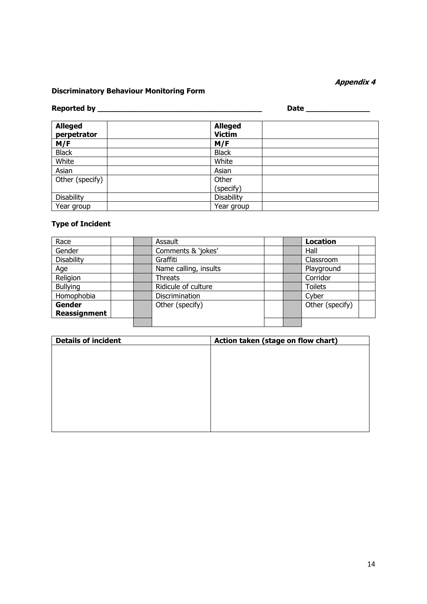#### **Appendix 4**

#### **Discriminatory Behaviour Monitoring Form**

## **Reported by \_\_\_\_\_\_\_\_\_\_\_\_\_\_\_\_\_\_\_\_\_\_\_\_\_\_\_\_\_\_\_\_\_\_\_\_ Date \_\_\_\_\_\_\_\_\_\_\_\_\_\_**

| <b>Alleged</b><br>perpetrator | <b>Alleged</b><br><b>Victim</b> |  |
|-------------------------------|---------------------------------|--|
| M/F                           | M/F                             |  |
| <b>Black</b>                  | <b>Black</b>                    |  |
| White                         | White                           |  |
| Asian                         | Asian                           |  |
| Other (specify)               | Other                           |  |
|                               | (specify)                       |  |
| Disability                    | Disability                      |  |
| Year group                    | Year group                      |  |

#### **Type of Incident**

| Race                | Assault               |  | <b>Location</b> |  |
|---------------------|-----------------------|--|-----------------|--|
| Gender              | Comments & 'jokes'    |  | Hall            |  |
| Disability          | Graffiti              |  | Classroom       |  |
| Age                 | Name calling, insults |  | Playground      |  |
| Religion            | <b>Threats</b>        |  | Corridor        |  |
| <b>Bullying</b>     | Ridicule of culture   |  | <b>Toilets</b>  |  |
| Homophobia          | Discrimination        |  | Cyber           |  |
| Gender              | Other (specify)       |  | Other (specify) |  |
| <b>Reassignment</b> |                       |  |                 |  |
|                     |                       |  |                 |  |

| <b>Details of incident</b> | Action taken (stage on flow chart) |  |  |  |
|----------------------------|------------------------------------|--|--|--|
|                            |                                    |  |  |  |
|                            |                                    |  |  |  |
|                            |                                    |  |  |  |
|                            |                                    |  |  |  |
|                            |                                    |  |  |  |
|                            |                                    |  |  |  |
|                            |                                    |  |  |  |
|                            |                                    |  |  |  |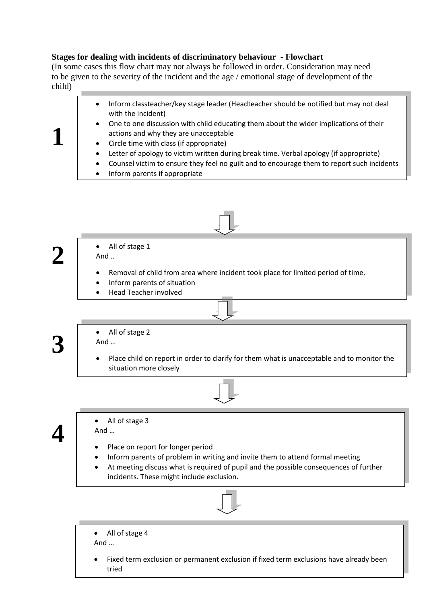#### **Stages for dealing with incidents of discriminatory behaviour - Flowchart**

(In some cases this flow chart may not always be followed in order. Consideration may need to be given to the severity of the incident and the age / emotional stage of development of the child)

- Inform classteacher/key stage leader (Headteacher should be notified but may not deal with the incident)
	- One to one discussion with child educating them about the wider implications of their actions and why they are unacceptable
	- Circle time with class (if appropriate)
	- Letter of apology to victim written during break time. Verbal apology (if appropriate)
	- Counsel victim to ensure they feel no guilt and to encourage them to report such incidents
	- Inform parents if appropriate

**1**